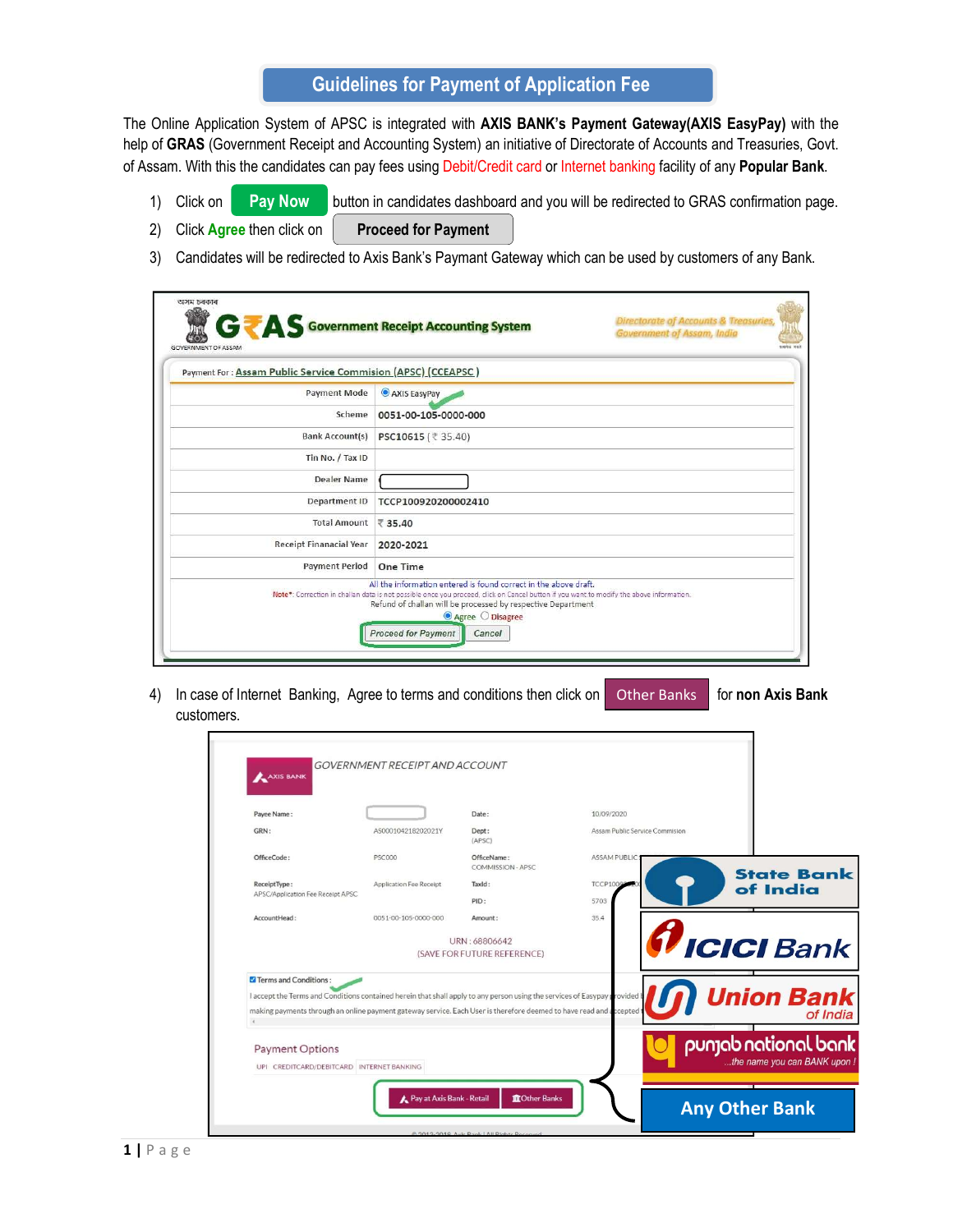## Guidelines for Payment of Application Fee

The Online Application System of APSC is integrated with AXIS BANK's Payment Gateway(AXIS EasyPay) with the help of GRAS (Government Receipt and Accounting System) an initiative of Directorate of Accounts and Treasuries, Govt. of Assam. With this the candidates can pay fees using Debit/Credit card or Internet banking facility of any Popular Bank.<br>1) Click on **Pay Now** button in candidates dashboard and you will be redirected to GRAS confirmation

- button in candidates dashboard and you will be redirected to GRAS confirmation page.
- 2) Click Agree then click on Proceed for Payment
- 3) Candidates will be redirected to Axis Bank's Paymant Gateway which can be used by customers of any Bank.

| GOVERNMENT OF ASSAM                                          |                                                                                                                                                                                                                                                                                                                                           |  |
|--------------------------------------------------------------|-------------------------------------------------------------------------------------------------------------------------------------------------------------------------------------------------------------------------------------------------------------------------------------------------------------------------------------------|--|
| Payment For: Assam Public Service Commision (APSC) (CCEAPSC) |                                                                                                                                                                                                                                                                                                                                           |  |
| <b>Payment Mode</b>                                          | AXIS EasyPay                                                                                                                                                                                                                                                                                                                              |  |
| Scheme                                                       | 0051-00-105-0000-000                                                                                                                                                                                                                                                                                                                      |  |
| <b>Bank Account(s)</b>                                       | PSC10615 (₹ 35.40)                                                                                                                                                                                                                                                                                                                        |  |
| Tin No. / Tax ID                                             |                                                                                                                                                                                                                                                                                                                                           |  |
| Dealer Name                                                  |                                                                                                                                                                                                                                                                                                                                           |  |
| Department ID                                                | TCCP100920200002410                                                                                                                                                                                                                                                                                                                       |  |
| <b>Total Amount</b>                                          | ₹ 35.40                                                                                                                                                                                                                                                                                                                                   |  |
| <b>Receipt Finanacial Year</b>                               | 2020-2021                                                                                                                                                                                                                                                                                                                                 |  |
| <b>Payment Period</b>                                        | One Time                                                                                                                                                                                                                                                                                                                                  |  |
|                                                              | All the information entered is found correct in the above draft.<br>Note*: Correction in challan data is not possible once you proceed, click on Cancel button if you want to modify the above information.<br>Refund of challan will be processed by respective Department<br>● Agree ○ Disagree<br><b>Proceed for Payment</b><br>Cancel |  |

4) In case of Internet Banking, Agree to terms and conditions then click on customers. Other Banks

|--|

| OfficeCode:<br><b>PSC000</b><br>OfficeName:<br><b>ASSAM PUBLIC</b><br>COMMISSION - APSC<br><b>State Bank</b><br>Application Fee Receipt<br><b>TCCP1009</b><br>ReceiptType:<br>TaxId:<br>of India<br>APSC/Application Fee Receipt APSC<br>PID:<br>5703<br>35.4<br>AccountHead:<br>0051-00-105-0000-000<br>Amount:<br><b>ICICI</b> Bank<br>URN: 68806642<br>(SAVE FOR FUTURE REFERENCE)<br>Terms and Conditions:<br><b>Union Bank</b><br>I accept the Terms and Conditions contained herein that shall apply to any person using the services of Easypay provided<br>making payments through an online payment gateway service. Each User is therefore deemed to have read and a ccepted<br>of India<br>$\mathcal{L}$<br>punjab national bank<br><b>Payment Options</b><br>the name you can BANK upon !<br>UPI CREDITCARD/DEBITCARD INTERNET BANKING<br>Pay at Axis Bank - Retail<br><b>ID</b> Other Banks<br><b>Any Other Bank</b><br>@ 2013-2019 Axis Rank   All Rights Reserved | Payee Name:<br>GRN: | AS000104218202021Y | Date:<br>Dept: | 10/09/2020<br>Assam Public Service Commision |  |
|----------------------------------------------------------------------------------------------------------------------------------------------------------------------------------------------------------------------------------------------------------------------------------------------------------------------------------------------------------------------------------------------------------------------------------------------------------------------------------------------------------------------------------------------------------------------------------------------------------------------------------------------------------------------------------------------------------------------------------------------------------------------------------------------------------------------------------------------------------------------------------------------------------------------------------------------------------------------------------|---------------------|--------------------|----------------|----------------------------------------------|--|
|                                                                                                                                                                                                                                                                                                                                                                                                                                                                                                                                                                                                                                                                                                                                                                                                                                                                                                                                                                                  |                     |                    | (APSC)         |                                              |  |
|                                                                                                                                                                                                                                                                                                                                                                                                                                                                                                                                                                                                                                                                                                                                                                                                                                                                                                                                                                                  |                     |                    |                |                                              |  |
|                                                                                                                                                                                                                                                                                                                                                                                                                                                                                                                                                                                                                                                                                                                                                                                                                                                                                                                                                                                  |                     |                    |                |                                              |  |
|                                                                                                                                                                                                                                                                                                                                                                                                                                                                                                                                                                                                                                                                                                                                                                                                                                                                                                                                                                                  |                     |                    |                |                                              |  |
|                                                                                                                                                                                                                                                                                                                                                                                                                                                                                                                                                                                                                                                                                                                                                                                                                                                                                                                                                                                  |                     |                    |                |                                              |  |
|                                                                                                                                                                                                                                                                                                                                                                                                                                                                                                                                                                                                                                                                                                                                                                                                                                                                                                                                                                                  |                     |                    |                |                                              |  |
|                                                                                                                                                                                                                                                                                                                                                                                                                                                                                                                                                                                                                                                                                                                                                                                                                                                                                                                                                                                  |                     |                    |                |                                              |  |
|                                                                                                                                                                                                                                                                                                                                                                                                                                                                                                                                                                                                                                                                                                                                                                                                                                                                                                                                                                                  |                     |                    |                |                                              |  |
|                                                                                                                                                                                                                                                                                                                                                                                                                                                                                                                                                                                                                                                                                                                                                                                                                                                                                                                                                                                  |                     |                    |                |                                              |  |
|                                                                                                                                                                                                                                                                                                                                                                                                                                                                                                                                                                                                                                                                                                                                                                                                                                                                                                                                                                                  |                     |                    |                |                                              |  |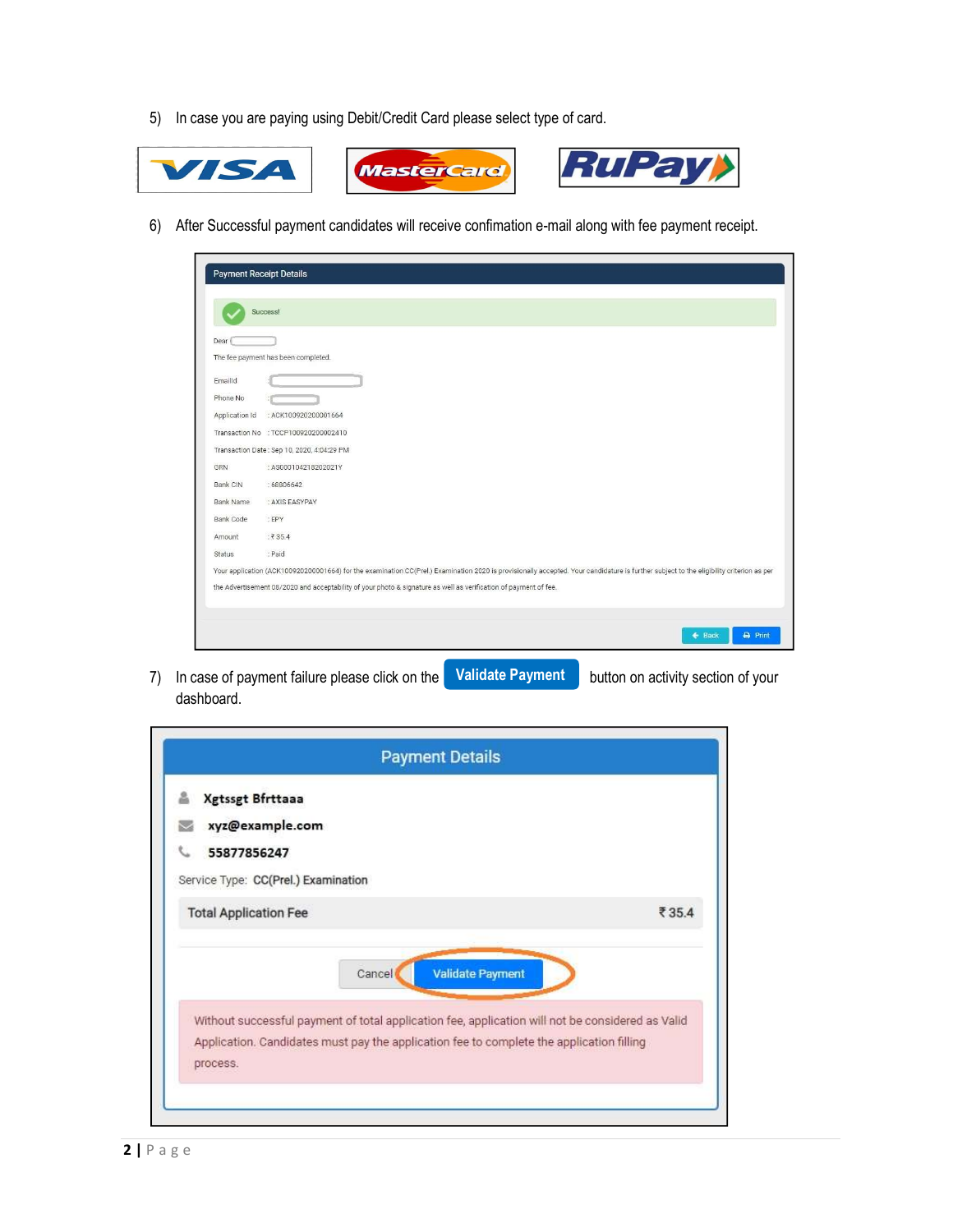5) In case you are paying using Debit/Credit Card please select type of card.







6) After Successful payment candidates will receive confimation e-mail along with fee payment receipt.

| <b>Payment Receipt Details</b> |                                                                                                                                                                                         |
|--------------------------------|-----------------------------------------------------------------------------------------------------------------------------------------------------------------------------------------|
|                                |                                                                                                                                                                                         |
|                                | Success!                                                                                                                                                                                |
| Dear                           |                                                                                                                                                                                         |
|                                | The fee payment has been completed.                                                                                                                                                     |
| Emailld                        |                                                                                                                                                                                         |
| Phone No                       |                                                                                                                                                                                         |
| Application Id                 | : ACK100920200001664                                                                                                                                                                    |
|                                | Transaction No : TCCP100920200002410                                                                                                                                                    |
|                                | Transaction Date: Sep 10, 2020, 4:04:29 PM                                                                                                                                              |
| GRN                            | : AS000104218202021Y                                                                                                                                                                    |
| Bank CIN                       | :68806642                                                                                                                                                                               |
| <b>Bank Name</b>               | : AXIS EASYPAY                                                                                                                                                                          |
| <b>Bank Code</b>               | : EPY                                                                                                                                                                                   |
| Amount                         | :₹35.4                                                                                                                                                                                  |
| Status                         | : Paid                                                                                                                                                                                  |
|                                | Your application (ACK100920200001664) for the examination CC(Prel.) Examination 2020 is provisionally accepted. Your candidature is further subject to the eligibility criterion as per |
|                                | the Advertisement 08/2020 and acceptability of your photo & signature as well as verification of payment of fee.                                                                        |
|                                |                                                                                                                                                                                         |
|                                | <b>B</b> Print<br>$\leftarrow$ Back                                                                                                                                                     |
|                                |                                                                                                                                                                                         |

7) In case of payment failure please click on the **Validate Payment** button on activity section of your dashboard.

| <b>Xgtssgt Bfrttaaa</b><br>å<br>xyz@example.com |                                                                                                                                                                                              |       |
|-------------------------------------------------|----------------------------------------------------------------------------------------------------------------------------------------------------------------------------------------------|-------|
| 55877856247                                     |                                                                                                                                                                                              |       |
| Service Type: CC(Prel.) Examination             |                                                                                                                                                                                              |       |
| <b>Total Application Fee</b>                    |                                                                                                                                                                                              | ₹35.4 |
|                                                 | Without successful payment of total application fee, application will not be considered as Valid<br>Application. Candidates must pay the application fee to complete the application filling |       |
| process.                                        |                                                                                                                                                                                              |       |
|                                                 |                                                                                                                                                                                              |       |
|                                                 |                                                                                                                                                                                              |       |
|                                                 |                                                                                                                                                                                              |       |